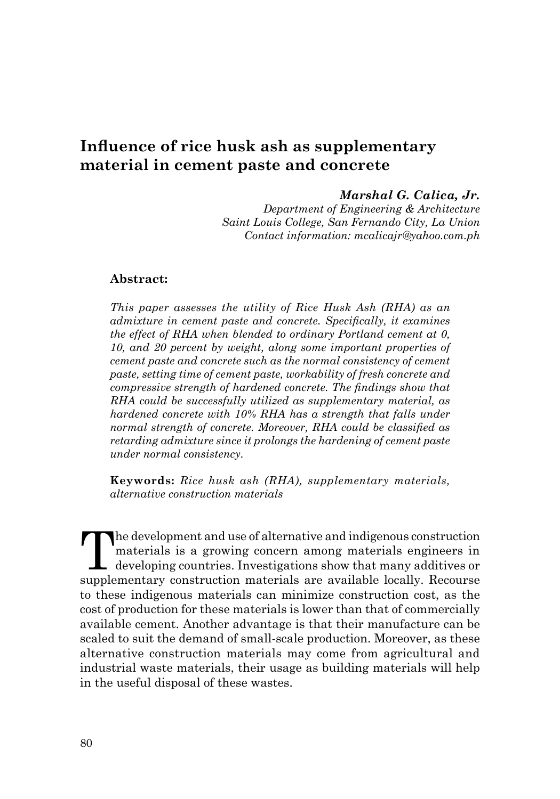# **Influence of rice husk ash as supplementary material in cement paste and concrete**

#### *Marshal G. Calica, Jr.*

*Department of Engineering & Architecture Saint Louis College, San Fernando City, La Union Contact information: mcalicajr@yahoo.com.ph* 

#### **Abstract:**

*This paper assesses the utility of Rice Husk Ash (RHA) as an admixture in cement paste and concrete. Specifically, it examines the effect of RHA when blended to ordinary Portland cement at 0, 10, and 20 percent by weight, along some important properties of cement paste and concrete such as the normal consistency of cement paste, setting time of cement paste, workability of fresh concrete and compressive strength of hardened concrete. The findings show that RHA could be successfully utilized as supplementary material, as hardened concrete with 10% RHA has a strength that falls under normal strength of concrete. Moreover, RHA could be classified as retarding admixture since it prolongs the hardening of cement paste under normal consistency.* 

**Keywords:** *Rice husk ash (RHA), supplementary materials, alternative construction materials*

The development and use of alternative and indigenous construction<br>materials is a growing concern among materials engineers in<br>developing countries. Investigations show that many additives or<br>materials are supplementary co materials is a growing concern among materials engineers in developing countries. Investigations show that many additives or supplementary construction materials are available locally. Recourse to these indigenous materials can minimize construction cost, as the cost of production for these materials is lower than that of commercially available cement. Another advantage is that their manufacture can be scaled to suit the demand of small-scale production. Moreover, as these alternative construction materials may come from agricultural and industrial waste materials, their usage as building materials will help in the useful disposal of these wastes.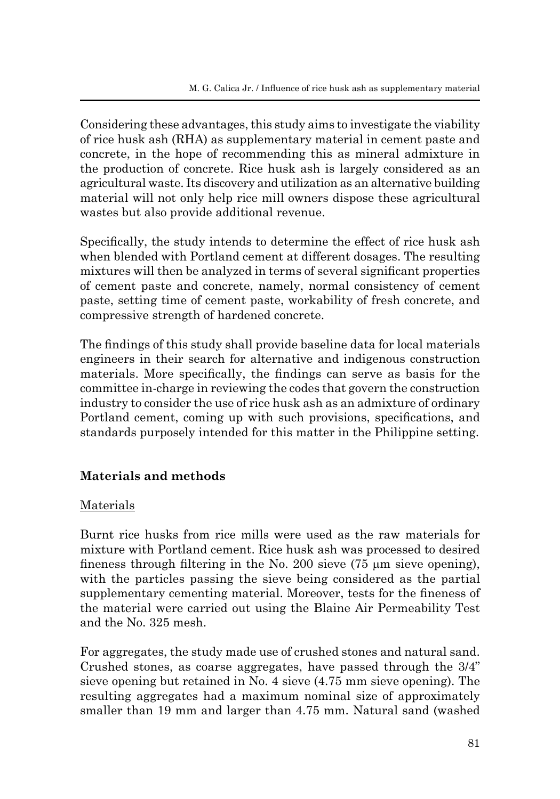Considering these advantages, this study aims to investigate the viability of rice husk ash (RHA) as supplementary material in cement paste and concrete, in the hope of recommending this as mineral admixture in the production of concrete. Rice husk ash is largely considered as an agricultural waste. Its discovery and utilization as an alternative building material will not only help rice mill owners dispose these agricultural wastes but also provide additional revenue.

Specifically, the study intends to determine the effect of rice husk ash when blended with Portland cement at different dosages. The resulting mixtures will then be analyzed in terms of several significant properties of cement paste and concrete, namely, normal consistency of cement paste, setting time of cement paste, workability of fresh concrete, and compressive strength of hardened concrete.

The findings of this study shall provide baseline data for local materials engineers in their search for alternative and indigenous construction materials. More specifically, the findings can serve as basis for the committee in-charge in reviewing the codes that govern the construction industry to consider the use of rice husk ash as an admixture of ordinary Portland cement, coming up with such provisions, specifications, and standards purposely intended for this matter in the Philippine setting.

## **Materials and methods**

### Materials

Burnt rice husks from rice mills were used as the raw materials for mixture with Portland cement. Rice husk ash was processed to desired fineness through filtering in the No. 200 sieve  $(75 \mu m)$  sieve opening), with the particles passing the sieve being considered as the partial supplementary cementing material. Moreover, tests for the fineness of the material were carried out using the Blaine Air Permeability Test and the No. 325 mesh.

For aggregates, the study made use of crushed stones and natural sand. Crushed stones, as coarse aggregates, have passed through the 3/4" sieve opening but retained in No. 4 sieve (4.75 mm sieve opening). The resulting aggregates had a maximum nominal size of approximately smaller than 19 mm and larger than 4.75 mm. Natural sand (washed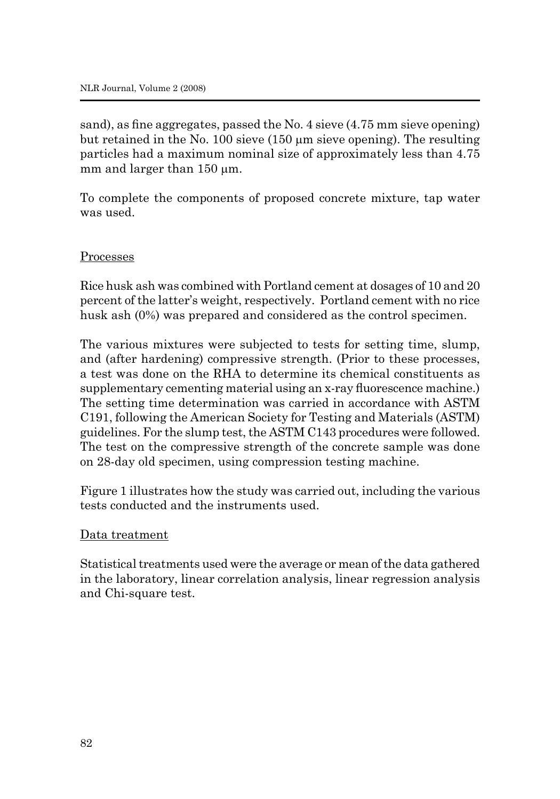sand), as fine aggregates, passed the No. 4 sieve (4.75 mm sieve opening) but retained in the No. 100 sieve (150 µm sieve opening). The resulting particles had a maximum nominal size of approximately less than 4.75 mm and larger than  $150 \mu m$ .

To complete the components of proposed concrete mixture, tap water was used.

#### Processes

Rice husk ash was combined with Portland cement at dosages of 10 and 20 percent of the latter's weight, respectively. Portland cement with no rice husk ash (0%) was prepared and considered as the control specimen.

The various mixtures were subjected to tests for setting time, slump, and (after hardening) compressive strength. (Prior to these processes, a test was done on the RHA to determine its chemical constituents as supplementary cementing material using an x-ray fluorescence machine.) The setting time determination was carried in accordance with ASTM C191, following the American Society for Testing and Materials (ASTM) guidelines. For the slump test, the ASTM C143 procedures were followed. The test on the compressive strength of the concrete sample was done on 28-day old specimen, using compression testing machine.

Figure 1 illustrates how the study was carried out, including the various tests conducted and the instruments used.

#### Data treatment

Statistical treatments used were the average or mean of the data gathered in the laboratory, linear correlation analysis, linear regression analysis and Chi-square test.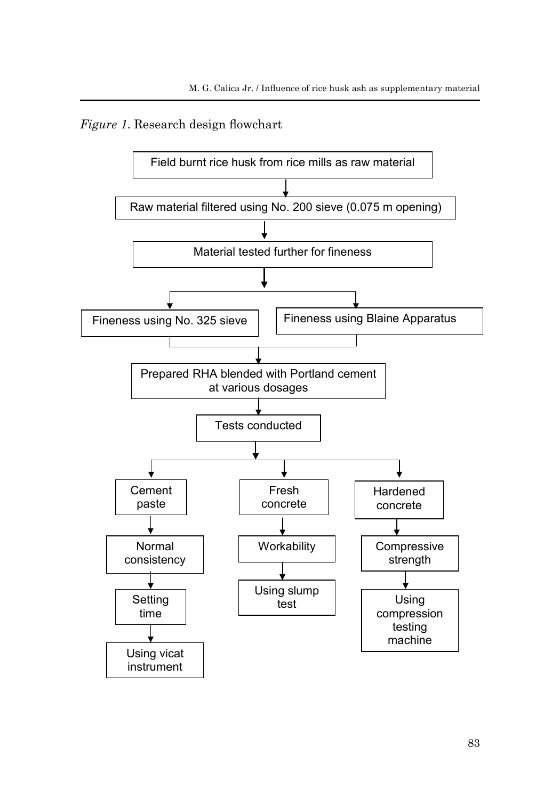*Figure 1*. Research design flowchart

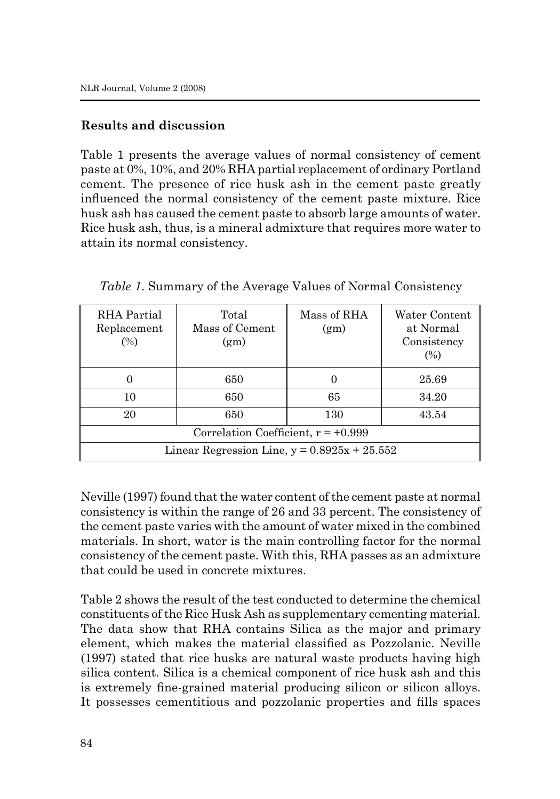### **Results and discussion**

Table 1 presents the average values of normal consistency of cement paste at 0%, 10%, and 20% RHA partial replacement of ordinary Portland cement. The presence of rice husk ash in the cement paste greatly influenced the normal consistency of the cement paste mixture. Rice husk ash has caused the cement paste to absorb large amounts of water. Rice husk ash, thus, is a mineral admixture that requires more water to attain its normal consistency.

| RHA Partial<br>Replacement<br>(%)              | Total<br>Mass of Cement<br>(g <sub>m</sub> ) | Mass of RHA<br>(g <sub>m</sub> ) | Water Content<br>at Normal<br>Consistency<br>(%) |
|------------------------------------------------|----------------------------------------------|----------------------------------|--------------------------------------------------|
|                                                | 650                                          | 0                                | 25.69                                            |
| 10                                             | 650                                          | 65                               | 34.20                                            |
| 20                                             | 650                                          | 130                              | 43.54                                            |
| Correlation Coefficient, $r = +0.999$          |                                              |                                  |                                                  |
| Linear Regression Line, $y = 0.8925x + 25.552$ |                                              |                                  |                                                  |

*Table 1*. Summary of the Average Values of Normal Consistency

Neville (1997) found that the water content of the cement paste at normal consistency is within the range of 26 and 33 percent. The consistency of the cement paste varies with the amount of water mixed in the combined materials. In short, water is the main controlling factor for the normal consistency of the cement paste. With this, RHA passes as an admixture that could be used in concrete mixtures.

Table 2 shows the result of the test conducted to determine the chemical constituents of the Rice Husk Ash as supplementary cementing material. The data show that RHA contains Silica as the major and primary element, which makes the material classified as Pozzolanic. Neville (1997) stated that rice husks are natural waste products having high silica content. Silica is a chemical component of rice husk ash and this is extremely fine-grained material producing silicon or silicon alloys. It possesses cementitious and pozzolanic properties and fills spaces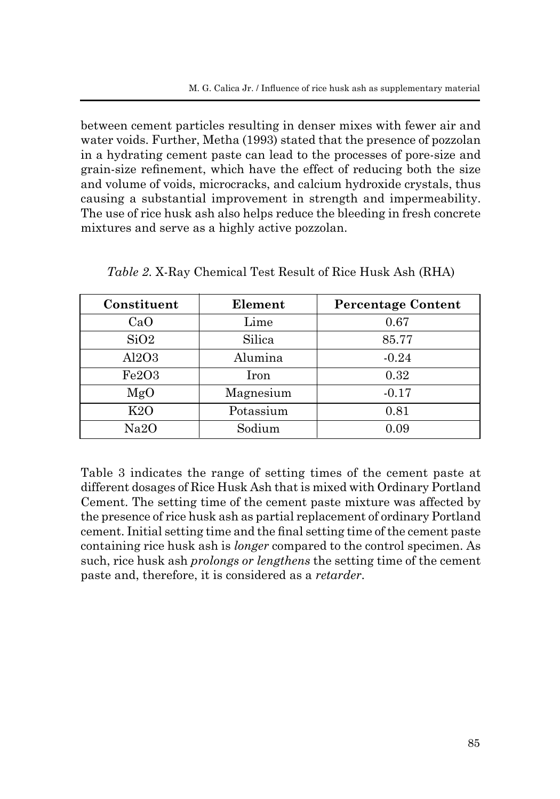between cement particles resulting in denser mixes with fewer air and water voids. Further, Metha (1993) stated that the presence of pozzolan in a hydrating cement paste can lead to the processes of pore-size and grain-size refinement, which have the effect of reducing both the size and volume of voids, microcracks, and calcium hydroxide crystals, thus causing a substantial improvement in strength and impermeability. The use of rice husk ash also helps reduce the bleeding in fresh concrete mixtures and serve as a highly active pozzolan.

| Constituent | Element   | <b>Percentage Content</b> |
|-------------|-----------|---------------------------|
| CaO         | Lime      | 0.67                      |
| SiO2        | Silica    | 85.77                     |
| Al2O3       | Alumina   | $-0.24$                   |
| Fe2O3       | Iron      | 0.32                      |
| MgO         | Magnesium | $-0.17$                   |
| K2O         | Potassium | 0.81                      |
| Na2O        | Sodium    | 0.09                      |

*Table 2*. X-Ray Chemical Test Result of Rice Husk Ash (RHA)

Table 3 indicates the range of setting times of the cement paste at different dosages of Rice Husk Ash that is mixed with Ordinary Portland Cement. The setting time of the cement paste mixture was affected by the presence of rice husk ash as partial replacement of ordinary Portland cement. Initial setting time and the final setting time of the cement paste containing rice husk ash is *longer* compared to the control specimen. As such, rice husk ash *prolongs or lengthens* the setting time of the cement paste and, therefore, it is considered as a *retarder*.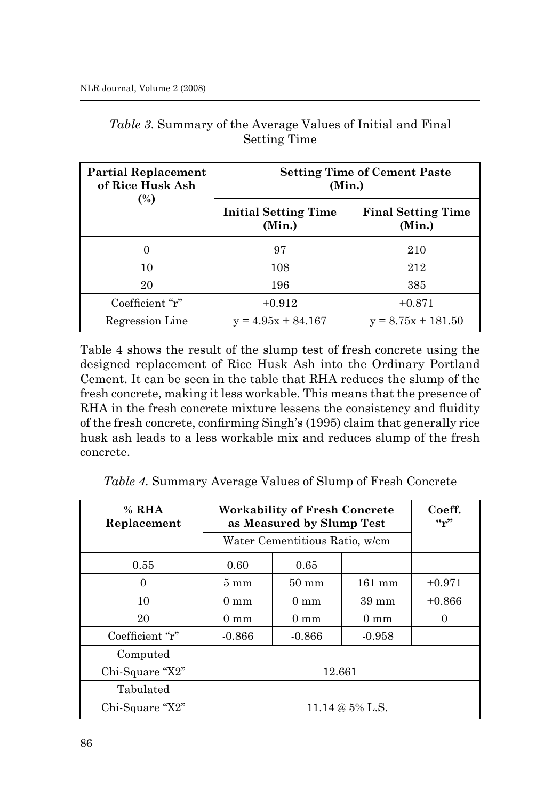| <b>Partial Replacement</b><br>of Rice Husk Ash | <b>Setting Time of Cement Paste</b><br>(Min.) |                                     |  |
|------------------------------------------------|-----------------------------------------------|-------------------------------------|--|
| $\binom{0}{0}$                                 | <b>Initial Setting Time</b><br>(Min.)         | <b>Final Setting Time</b><br>(Min.) |  |
| 0                                              | 97                                            | 210                                 |  |
| 10                                             | 108                                           | 212                                 |  |
| 20                                             | 196                                           | 385                                 |  |
| Coefficient "r"                                | $+0.912$                                      | $+0.871$                            |  |
| Regression Line                                | $y = 4.95x + 84.167$                          | $y = 8.75x + 181.50$                |  |

*Table 3*. Summary of the Average Values of Initial and Final Setting Time

Table 4 shows the result of the slump test of fresh concrete using the designed replacement of Rice Husk Ash into the Ordinary Portland Cement. It can be seen in the table that RHA reduces the slump of the fresh concrete, making it less workable. This means that the presence of RHA in the fresh concrete mixture lessens the consistency and fluidity of the fresh concrete, confirming Singh's (1995) claim that generally rice husk ash leads to a less workable mix and reduces slump of the fresh concrete.

*Table 4*. Summary Average Values of Slump of Fresh Concrete

| $%$ RHA<br>Replacement | <b>Workability of Fresh Concrete</b><br>as Measured by Slump Test |                 |                  | Coeff.<br>$\mathfrak{c}$ $\mathfrak{c}$ $\mathfrak{c}$ |
|------------------------|-------------------------------------------------------------------|-----------------|------------------|--------------------------------------------------------|
|                        | Water Cementitious Ratio, w/cm                                    |                 |                  |                                                        |
| 0.55                   | 0.60                                                              | 0.65            |                  |                                                        |
| 0                      | $5 \text{ mm}$                                                    | $50 \text{ mm}$ | $161 \text{ mm}$ | $+0.971$                                               |
| 10                     | $0 \text{ mm}$                                                    | $0 \text{ mm}$  | $39 \text{ mm}$  | $+0.866$                                               |
| 20                     | $0 \text{ mm}$                                                    | $0 \text{ mm}$  | $0 \text{ mm}$   | 0                                                      |
| Coefficient "r"        | $-0.866$                                                          | $-0.866$        | $-0.958$         |                                                        |
| Computed               |                                                                   |                 |                  |                                                        |
| Chi-Square "X2"        | 12.661                                                            |                 |                  |                                                        |
| Tabulated              |                                                                   |                 |                  |                                                        |
| Chi-Square "X2"        | 11.14 @ 5% L.S.                                                   |                 |                  |                                                        |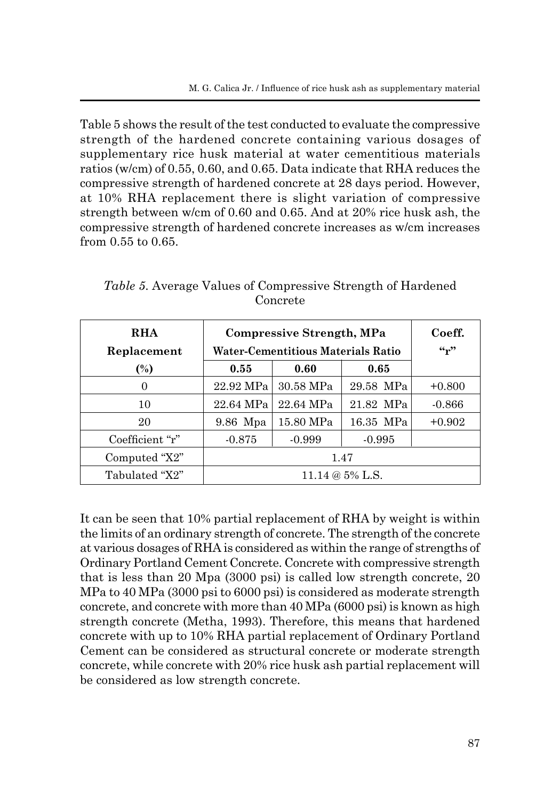Table 5 shows the result of the test conducted to evaluate the compressive strength of the hardened concrete containing various dosages of supplementary rice husk material at water cementitious materials ratios (w/cm) of 0.55, 0.60, and 0.65. Data indicate that RHA reduces the compressive strength of hardened concrete at 28 days period. However, at 10% RHA replacement there is slight variation of compressive strength between w/cm of 0.60 and 0.65. And at 20% rice husk ash, the compressive strength of hardened concrete increases as w/cm increases from 0.55 to 0.65.

| <b>RHA</b><br>Replacement | Compressive Strength, MPa<br><b>Water-Cementitious Materials Ratio</b> |           |           | Coeff.<br>$\mathfrak{c}_r$ |
|---------------------------|------------------------------------------------------------------------|-----------|-----------|----------------------------|
| $(\%)$                    | 0.55                                                                   | 0.60      | 0.65      |                            |
| $\theta$                  | 22.92 MPa                                                              | 30.58 MPa | 29.58 MPa | $+0.800$                   |
| 10                        | 22.64 MPa                                                              | 22.64 MPa | 21.82 MPa | $-0.866$                   |
| 20                        | 9.86 Mpa                                                               | 15.80 MPa | 16.35 MPa | $+0.902$                   |
| Coefficient "r"           | $-0.875$                                                               | $-0.999$  | $-0.995$  |                            |
| Computed "X2"             | 1.47                                                                   |           |           |                            |
| Tabulated "X2"            | 11.14 @ 5% L.S.                                                        |           |           |                            |

*Table 5*. Average Values of Compressive Strength of Hardened Concrete

It can be seen that 10% partial replacement of RHA by weight is within the limits of an ordinary strength of concrete. The strength of the concrete at various dosages of RHA is considered as within the range of strengths of Ordinary Portland Cement Concrete. Concrete with compressive strength that is less than 20 Mpa (3000 psi) is called low strength concrete, 20 MPa to 40 MPa (3000 psi to 6000 psi) is considered as moderate strength concrete, and concrete with more than 40 MPa (6000 psi) is known as high strength concrete (Metha, 1993). Therefore, this means that hardened concrete with up to 10% RHA partial replacement of Ordinary Portland Cement can be considered as structural concrete or moderate strength concrete, while concrete with 20% rice husk ash partial replacement will be considered as low strength concrete.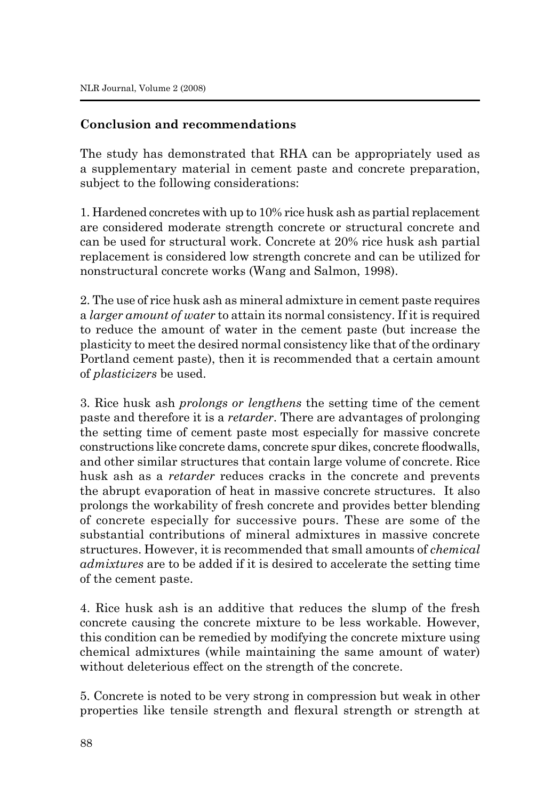### **Conclusion and recommendations**

The study has demonstrated that RHA can be appropriately used as a supplementary material in cement paste and concrete preparation, subject to the following considerations:

1. Hardened concretes with up to 10% rice husk ash as partial replacement are considered moderate strength concrete or structural concrete and can be used for structural work. Concrete at 20% rice husk ash partial replacement is considered low strength concrete and can be utilized for nonstructural concrete works (Wang and Salmon, 1998).

2. The use of rice husk ash as mineral admixture in cement paste requires a *larger amount of water* to attain its normal consistency. If it is required to reduce the amount of water in the cement paste (but increase the plasticity to meet the desired normal consistency like that of the ordinary Portland cement paste), then it is recommended that a certain amount of *plasticizers* be used.

3. Rice husk ash *prolongs or lengthens* the setting time of the cement paste and therefore it is a *retarder*. There are advantages of prolonging the setting time of cement paste most especially for massive concrete constructions like concrete dams, concrete spur dikes, concrete floodwalls, and other similar structures that contain large volume of concrete. Rice husk ash as a *retarder* reduces cracks in the concrete and prevents the abrupt evaporation of heat in massive concrete structures. It also prolongs the workability of fresh concrete and provides better blending of concrete especially for successive pours. These are some of the substantial contributions of mineral admixtures in massive concrete structures. However, it is recommended that small amounts of *chemical admixtures* are to be added if it is desired to accelerate the setting time of the cement paste.

4. Rice husk ash is an additive that reduces the slump of the fresh concrete causing the concrete mixture to be less workable. However, this condition can be remedied by modifying the concrete mixture using chemical admixtures (while maintaining the same amount of water) without deleterious effect on the strength of the concrete.

5. Concrete is noted to be very strong in compression but weak in other properties like tensile strength and flexural strength or strength at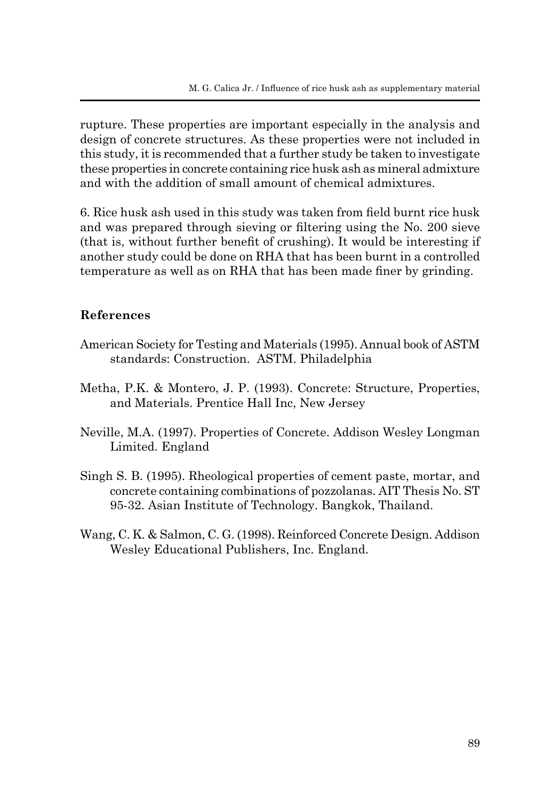rupture. These properties are important especially in the analysis and design of concrete structures. As these properties were not included in this study, it is recommended that a further study be taken to investigate these properties in concrete containing rice husk ash as mineral admixture and with the addition of small amount of chemical admixtures.

6. Rice husk ash used in this study was taken from field burnt rice husk and was prepared through sieving or filtering using the No. 200 sieve (that is, without further benefit of crushing). It would be interesting if another study could be done on RHA that has been burnt in a controlled temperature as well as on RHA that has been made finer by grinding.

### **References**

- American Society for Testing and Materials (1995). Annual book of ASTM standards: Construction. ASTM. Philadelphia
- Metha, P.K. & Montero, J. P. (1993). Concrete: Structure, Properties, and Materials. Prentice Hall Inc, New Jersey
- Neville, M.A. (1997). Properties of Concrete. Addison Wesley Longman Limited. England
- Singh S. B. (1995). Rheological properties of cement paste, mortar, and concrete containing combinations of pozzolanas. AIT Thesis No. ST 95-32. Asian Institute of Technology. Bangkok, Thailand.
- Wang, C. K. & Salmon, C. G. (1998). Reinforced Concrete Design. Addison Wesley Educational Publishers, Inc. England.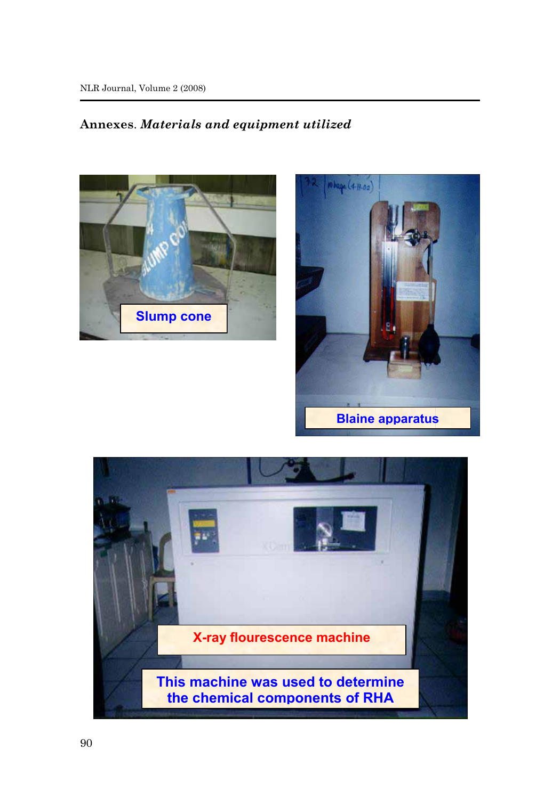## **Annexes**. *Materials and equipment utilized*





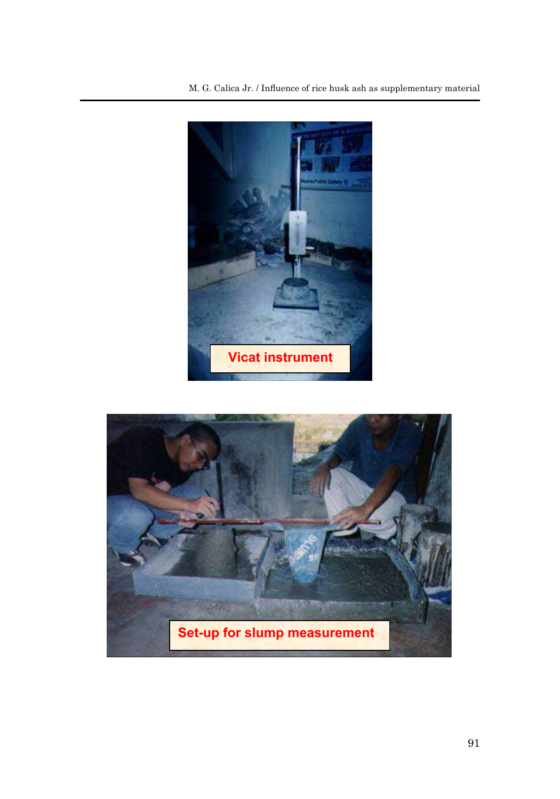